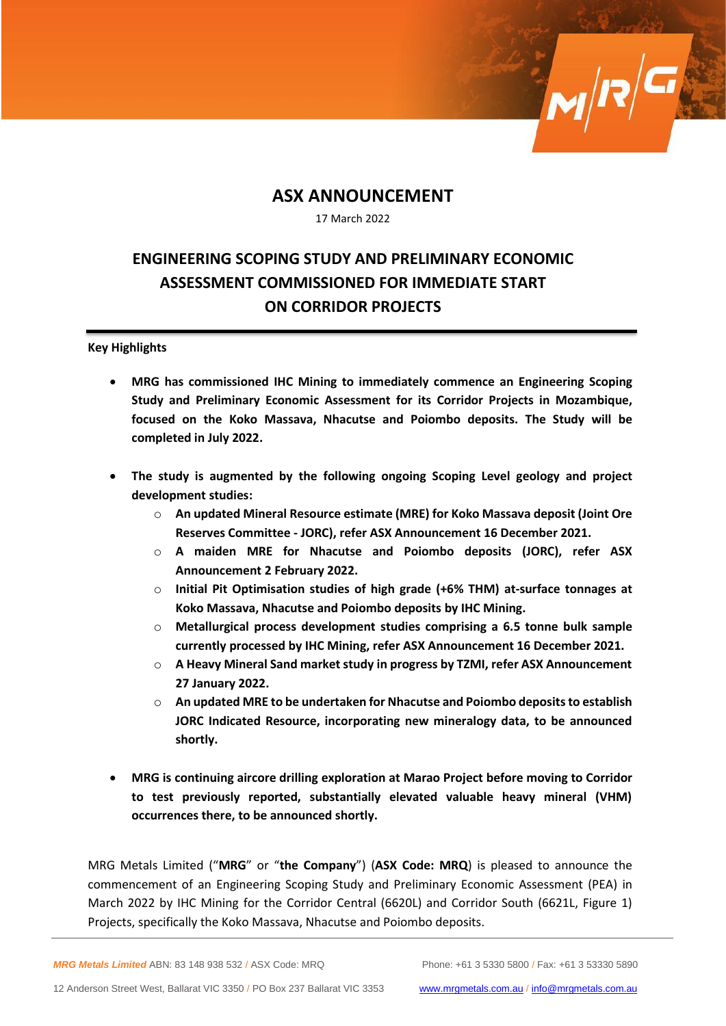## **ASX ANNOUNCEMENT**

17 March 2022

# **ENGINEERING SCOPING STUDY AND PRELIMINARY ECONOMIC ASSESSMENT COMMISSIONED FOR IMMEDIATE START ON CORRIDOR PROJECTS**

### **Key Highlights**

- **MRG has commissioned IHC Mining to immediately commence an Engineering Scoping Study and Preliminary Economic Assessment for its Corridor Projects in Mozambique, focused on the Koko Massava, Nhacutse and Poiombo deposits. The Study will be completed in July 2022.**
- **The study is augmented by the following ongoing Scoping Level geology and project development studies:**
	- o **An updated Mineral Resource estimate (MRE) for Koko Massava deposit (Joint Ore Reserves Committee - JORC), refer ASX Announcement 16 December 2021.**
	- o **A maiden MRE for Nhacutse and Poiombo deposits (JORC), refer ASX Announcement 2 February 2022.**
	- o **Initial Pit Optimisation studies of high grade (+6% THM) at-surface tonnages at Koko Massava, Nhacutse and Poiombo deposits by IHC Mining.**
	- o **Metallurgical process development studies comprising a 6.5 tonne bulk sample currently processed by IHC Mining, refer ASX Announcement 16 December 2021.**
	- o **A Heavy Mineral Sand market study in progress by TZMI, refer ASX Announcement 27 January 2022.**
	- o **An updated MRE to be undertaken for Nhacutse and Poiombo deposits to establish JORC Indicated Resource, incorporating new mineralogy data, to be announced shortly.**
- **MRG is continuing aircore drilling exploration at Marao Project before moving to Corridor to test previously reported, substantially elevated valuable heavy mineral (VHM) occurrences there, to be announced shortly.**

MRG Metals Limited ("**MRG**" or "**the Company**") (**ASX Code: MRQ**) is pleased to announce the commencement of an Engineering Scoping Study and Preliminary Economic Assessment (PEA) in March 2022 by IHC Mining for the Corridor Central (6620L) and Corridor South (6621L, Figure 1) Projects, specifically the Koko Massava, Nhacutse and Poiombo deposits.

*MRG Metals Limited* ABN: 83 148 938 532 / ASX Code: MRQ Phone: +61 3 5330 5800 / Fax: +61 3 53330 5890

 $\frac{1}{2}$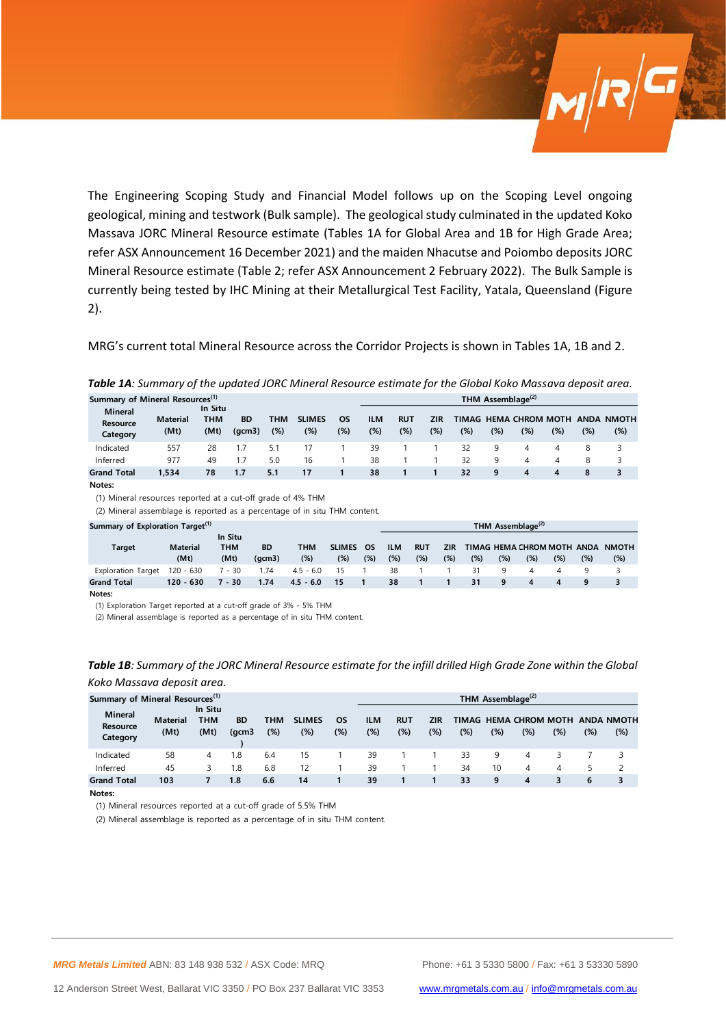The Engineering Scoping Study and Financial Model follows up on the Scoping Level ongoing geological, mining and testwork (Bulk sample). The geological study culminated in the updated Koko Massava JORC Mineral Resource estimate (Tables 1A for Global Area and 1B for High Grade Area; refer ASX Announcement 16 December 2021) and the maiden Nhacutse and Poiombo deposits JORC Mineral Resource estimate (Table 2; refer ASX Announcement 2 February 2022). The Bulk Sample is currently being tested by IHC Mining at their Metallurgical Test Facility, Yatala, Queensland (Figure 2).

MRG's current total Mineral Resource across the Corridor Projects is shown in Tables 1A, 1B and 2.

|                                             | <b>TUDIC IA</b> . JUINNIUN VI THE UPUUTEU JONE MINETUI NESUUTEE ESTIMUTE JOI THE GIODUI NONO MUSSUVU UEPOSIT UI EU. |                               |                     |            |                         |                  |                      |                   |                   |     |     |                              |     |     |                          |
|---------------------------------------------|---------------------------------------------------------------------------------------------------------------------|-------------------------------|---------------------|------------|-------------------------|------------------|----------------------|-------------------|-------------------|-----|-----|------------------------------|-----|-----|--------------------------|
| Summary of Mineral Resources <sup>(1)</sup> | THM Assemblage <sup>(2)</sup>                                                                                       |                               |                     |            |                         |                  |                      |                   |                   |     |     |                              |     |     |                          |
| <b>Mineral</b><br>Resource<br>Category      | <b>Material</b><br>(Mt)                                                                                             | In Situ<br><b>THM</b><br>(Mt) | <b>BD</b><br>(qcm3) | тнм<br>(%) | <b>SLIMES</b><br>$(\%)$ | <b>OS</b><br>(%) | <b>ILM</b><br>$(\%)$ | <b>RUT</b><br>(%) | <b>ZIR</b><br>(%) | (%) | (%) | TIMAG HEMA CHROM MOTH<br>(%) | (%) | (%) | <b>ANDA NMOTH</b><br>(%) |
| Indicated                                   | 557                                                                                                                 | 28                            |                     | 5.1        | 17                      |                  | 39                   |                   |                   | 32  | 9   | 4                            | 4   | 8   | 3                        |
| Inferred                                    | 977                                                                                                                 | 49                            | 1.7                 | 5.0        | 16                      |                  | 38                   |                   |                   | 32  | 9   | 4                            | 4   | 8   | 3                        |
| <b>Grand Total</b>                          | 1.534                                                                                                               | 78                            | 1.7                 | 5.1        | 17                      |                  | 38                   |                   |                   | 32  | 9   | 4                            | 4   | 8   | 3                        |
| Notes:                                      |                                                                                                                     |                               |                     |            |                         |                  |                      |                   |                   |     |     |                              |     |     |                          |

*Table 1A: Summary of the updated JORC Mineral Resource estimate for the Global Koko Massava deposit area.*

(1) Mineral resources reported at a cut-off grade of 4% THM

(2) Mineral assemblage is reported as a percentage of in situ THM content.

| Summary of Exploration Target <sup>(1)</sup> |  |  |  |  |  |
|----------------------------------------------|--|--|--|--|--|
|----------------------------------------------|--|--|--|--|--|

|                           | Summary of Exploration Target <sup>(1)</sup> |                               |                     |             |                      |              |                   |                   |                   | THM Assemblage <sup>(2)</sup> |     |     |                                   |     |                     |  |  |  |  |  |
|---------------------------|----------------------------------------------|-------------------------------|---------------------|-------------|----------------------|--------------|-------------------|-------------------|-------------------|-------------------------------|-----|-----|-----------------------------------|-----|---------------------|--|--|--|--|--|
| Target                    | <b>Material</b><br>(Mt)                      | In Situ<br><b>THM</b><br>(Mt) | <b>BD</b><br>(qcm3) | тнм<br>(%)  | <b>SLIMES</b><br>(%) | OS<br>$(\%)$ | <b>ILM</b><br>(%) | <b>RUT</b><br>(%) | <b>ZIR</b><br>(%) | (%)                           | (%) | (%) | TIMAG HEMA CHROM MOTH ANDA<br>(%) | (%) | <b>NMOTH</b><br>(%) |  |  |  |  |  |
| <b>Exploration Target</b> | $120 - 630$                                  | $7 - 30$                      | 1.74                | $4.5 - 6.0$ | 15                   |              | 38                |                   |                   | 31                            | q   | 4   |                                   | q   |                     |  |  |  |  |  |
| <b>Grand Total</b>        | $120 - 630$                                  | 7 - 30                        | 1.74                | $4.5 - 6.0$ | -15                  |              | 38                |                   |                   | 31                            | 9   | 4   | 4                                 | -9  |                     |  |  |  |  |  |
| $\cdots$                  |                                              |                               |                     |             |                      |              |                   |                   |                   |                               |     |     |                                   |     |                     |  |  |  |  |  |

**Notes:**

(1) Exploration Target reported at a cut-off grade of 3% - 5% THM

(2) Mineral assemblage is reported as a percentage of in situ THM content.

| Summary of Mineral Resources <sup>(1)</sup><br><b>Mineral</b><br><b>Resource</b><br>Category | <b>Material</b><br>(Mt) | In Situ<br>тнм<br>(Mt) | <b>BD</b><br>(gcm3 | <b>THM</b><br>(%) | <b>SLIMES</b><br>(%) | OS<br>(%) | ILM<br>(%) | <b>RUT</b><br>(%) | ZIR<br>$(\%)$ | (%) | THM Assemblage <sup>(2)</sup><br>(%) | TIMAG HEMA CHROM MOTH<br>(%) | $(\%)$ | $(\%)$ | <b>ANDA NMOTH</b><br>(%) |
|----------------------------------------------------------------------------------------------|-------------------------|------------------------|--------------------|-------------------|----------------------|-----------|------------|-------------------|---------------|-----|--------------------------------------|------------------------------|--------|--------|--------------------------|
| Indicated                                                                                    | 58                      | 4                      | 1.8                | 6.4               | 15                   |           | 39         |                   |               | 33  | 9                                    |                              |        |        |                          |
| Inferred                                                                                     | 45                      | 3                      | 1.8                | 6.8               | 12                   |           | 39         |                   |               | 34  | 10                                   | 4                            | 4      |        |                          |
| <b>Grand Total</b>                                                                           | 103                     |                        | 1.8                | 6.6               | 14                   |           | 39         |                   |               | 33  | 9                                    | 4                            | 3      | 6      | 3                        |

#### *Table 1B: Summary of the JORC Mineral Resource estimate for the infill drilled High Grade Zone within the Global Koko Massava deposit area.*

**Notes:**

(1) Mineral resources reported at a cut-off grade of 5.5% THM

(2) Mineral assemblage is reported as a percentage of in situ THM content.

 $\mathbf{M}|\mathbf{R}|^{\mathbf{G}}$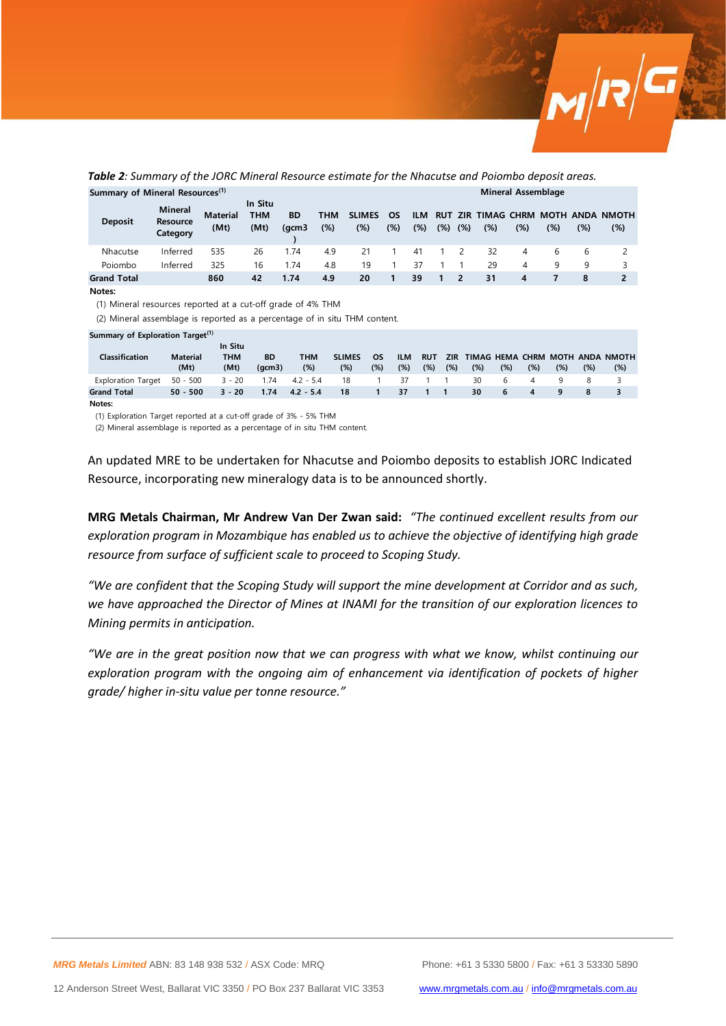

| Summary of Mineral Resources <sup>(1)</sup> |                                 |                         |                               |                    |                   |                      |                  |                |                   |     | Mineral Assemblage |     |              |     |                                       |  |  |  |  |
|---------------------------------------------|---------------------------------|-------------------------|-------------------------------|--------------------|-------------------|----------------------|------------------|----------------|-------------------|-----|--------------------|-----|--------------|-----|---------------------------------------|--|--|--|--|
| <b>Deposit</b>                              | Mineral<br>Resource<br>Category | <b>Material</b><br>(Mt) | In Situ<br><b>THM</b><br>(Mt) | <b>BD</b><br>(gcm3 | <b>THM</b><br>(%) | <b>SLIMES</b><br>(%) | <b>OS</b><br>(%) | ILM.<br>$(\%)$ | <b>RUT</b><br>(%) | (%) | (%)                | (%) | (%)          | (%) | ZIR TIMAG CHRM MOTH ANDA NMOTH<br>(%) |  |  |  |  |
| Nhacutse                                    | Inferred                        | 535                     | 26                            | 1.74               | 4.9               | 21                   |                  | 41             |                   |     | 32                 | 4   | <sub>b</sub> |     |                                       |  |  |  |  |
| Poiombo                                     | Inferred                        | 325                     | 16                            | 1.74               | 4.8               | 19                   |                  | 37             |                   |     | 29                 | 4   | Q            | q   |                                       |  |  |  |  |
| <b>Grand Total</b>                          |                                 | 860                     | 42                            | 1.74               | 4.9               | 20                   |                  | 39             | 1.                | 2   | 31                 | 4   |              | 8   |                                       |  |  |  |  |

*Table 2: Summary of the JORC Mineral Resource estimate for the Nhacutse and Poiombo deposit areas.*

**Notes:**

(1) Mineral resources reported at a cut-off grade of 4% THM

(2) Mineral assemblage is reported as a percentage of in situ THM content.

|  | Summary of Exploration Target <sup>(1)</sup> |  |  |
|--|----------------------------------------------|--|--|
|  |                                              |  |  |

| Classification            | <b>Material</b><br>(Mt) | In Situ<br><b>THM</b><br>(Mt) | <b>BD</b><br>(acm3) | <b>THM</b><br>(%) | <b>SLIMES</b><br>(%) | <b>OS</b><br>(%) | <b>ILM</b><br>(%) | <b>RUT</b><br>$(\%)$ | <b>ZIR</b><br>$(\%)$ | (%) | $(\%)$ | (%)              | (%) | (%) | TIMAG HEMA CHRM MOTH ANDA NMOTH<br>(%) |
|---------------------------|-------------------------|-------------------------------|---------------------|-------------------|----------------------|------------------|-------------------|----------------------|----------------------|-----|--------|------------------|-----|-----|----------------------------------------|
| <b>Exploration Target</b> | 50 - 500                | $3 - 20$                      | 1.74                | $4.2 - 5.4$       | 18                   |                  | -37               | $1 \quad 1$          |                      | 30  | h      |                  |     |     |                                        |
| <b>Grand Total</b>        | $50 - 500$              | $3 - 20$                      | 1.74                | $4.2 - 5.4$       | 18                   |                  | 37                | $-1$ $1$             |                      | 30  | -6     | $\boldsymbol{4}$ |     |     |                                        |

**Notes:**

(1) Exploration Target reported at a cut-off grade of 3% - 5% THM

(2) Mineral assemblage is reported as a percentage of in situ THM content.

An updated MRE to be undertaken for Nhacutse and Poiombo deposits to establish JORC Indicated Resource, incorporating new mineralogy data is to be announced shortly.

**MRG Metals Chairman, Mr Andrew Van Der Zwan said:** *"The continued excellent results from our exploration program in Mozambique has enabled us to achieve the objective of identifying high grade resource from surface of sufficient scale to proceed to Scoping Study.* 

*"We are confident that the Scoping Study will support the mine development at Corridor and as such, we have approached the Director of Mines at INAMI for the transition of our exploration licences to Mining permits in anticipation.* 

*"We are in the great position now that we can progress with what we know, whilst continuing our exploration program with the ongoing aim of enhancement via identification of pockets of higher grade/ higher in-situ value per tonne resource."*

*MRG Metals Limited* ABN: 83 148 938 532 / ASX Code: MRQ Phone: +61 3 5330 5800 / Fax: +61 3 53330 5890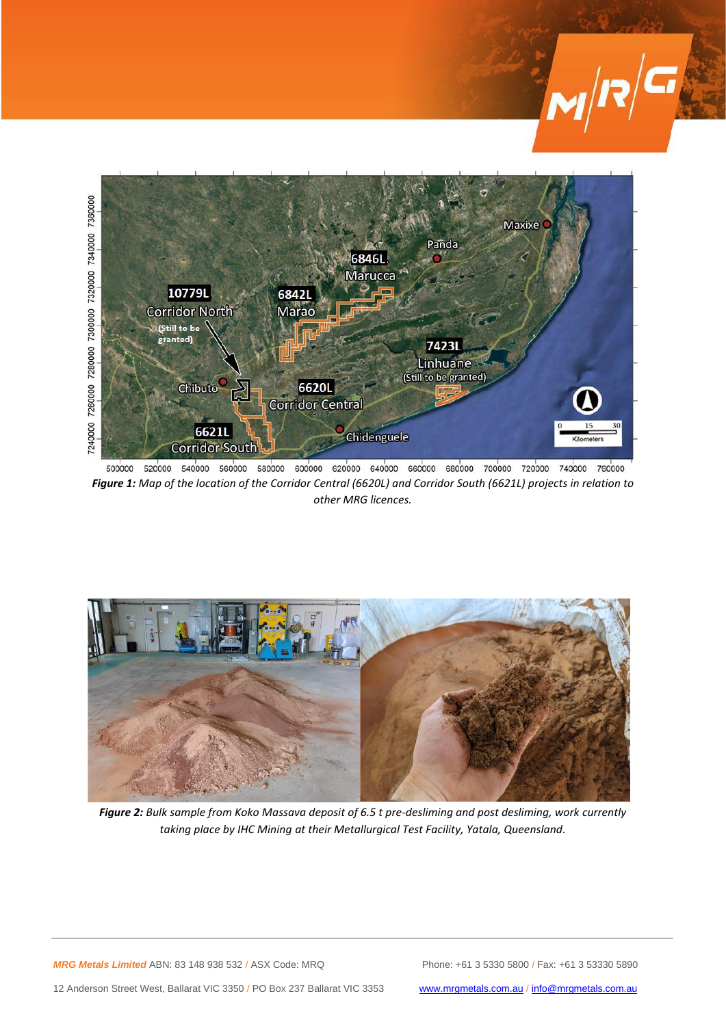



500000 520000 540000 560000 580000 600000 620000 640000 660000 680000 700000 720000 740000 760000 *Figure 1: Map of the location of the Corridor Central (6620L) and Corridor South (6621L) projects in relation to other MRG licences.*



*Figure 2: Bulk sample from Koko Massava deposit of 6.5 t pre-desliming and post desliming, work currently taking place by IHC Mining at their Metallurgical Test Facility, Yatala, Queensland.*

*MRG Metals Limited* ABN: 83 148 938 532 / ASX Code: MRQ Phone: +61 3 5330 5800 / Fax: +61 3 53330 5890

12 Anderson Street West, Ballarat VIC 3350 / PO Box 237 Ballarat VIC 3353 [www.mrgmetals.com.au](http://www.mrgmetals.com.au/) / [info@mrgmetals.com.au](mailto:info@mrgmetals.com.au)